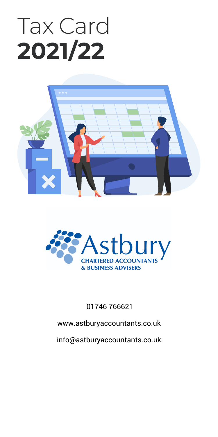# Tax Card **2021/22**





01746 766621

www.astburyaccountants.co.uk

info@astburyaccountants.co.uk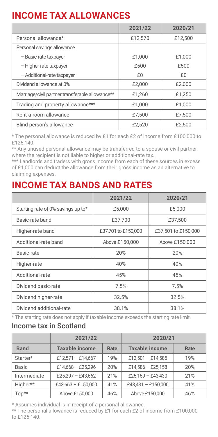## **INCOME TAX ALLOWANCES**

|                                                 | 2021/22 | 2020/21 |  |
|-------------------------------------------------|---------|---------|--|
| Personal allowance*                             | £12,570 | £12.500 |  |
| Personal savings allowance                      |         |         |  |
| - Basic-rate taxpaver                           | £1.000  | £1.000  |  |
| - Higher-rate taxpayer                          | £500    | £500    |  |
| - Additional-rate taxpayer                      | £0      | f()     |  |
| Dividend allowance at 0%                        | £2,000  | £2,000  |  |
| Marriage/civil partner transferable allowance** | £1.260  | £1.250  |  |
| Trading and property allowance***               | £1.000  | £1.000  |  |
| Rent-a-room allowance                           | £7.500  | £7.500  |  |
| Blind person's allowance                        | £2.520  | £2,500  |  |

\* The personal allowance is reduced by £1 for each £2 of income from £100,000 to £125,140.

\*\* Any unused personal allowance may be transferred to a spouse or civil partner, where the recipient is not liable to higher or additional-rate tax.

\*\*\* Landlords and traders with gross income from each of these sources in excess of £1,000 can deduct the allowance from their gross income as an alternative to claiming expenses.

## **INCOME TAX BANDS AND RATES**

|                                     | 2021/22             | 2020/21             |
|-------------------------------------|---------------------|---------------------|
| Starting rate of 0% savings up to*: | £5,000              | £5,000              |
| Basic-rate band                     | £37.700             | £37.500             |
| Higher-rate band                    | £37.701 to £150.000 | £37,501 to £150,000 |
| Additional-rate band                | Above £150,000      | Above £150,000      |
| Basic-rate                          | 20%                 | 20%                 |
| Higher-rate                         | 40%                 | 40%                 |
| Additional-rate                     | 45%                 | 45%                 |
| Dividend basic-rate                 | 7.5%                | 7.5%                |
| Dividend higher-rate                | 32.5%               | 32.5%               |
| Dividend additional-rate            | 38.1%               | 38.1%               |

\* The starting rate does not apply if taxable income exceeds the starting rate limit.

#### Income tax in Scotland

|              | 2021/22            |      | 2020/21            |      |  |
|--------------|--------------------|------|--------------------|------|--|
| <b>Band</b>  | Taxable income     | Rate | Taxable income     | Rate |  |
| Starter*     | £12.571 - £14.667  | 19%  | £12.501 - £14.585  | 19%  |  |
| Basic        | £14,668 - £25,296  | 20%  | £14.586 - £25.158  | 20%  |  |
| Intermediate | £25.297 - £43.662  | 21%  | £25.159 - £43.430  | 21%  |  |
| Higher**     | £43,663 - £150,000 | 41%  | £43.431 - £150.000 | 41%  |  |
| Top**        | Above £150,000     | 46%  | Above £150,000     | 46%  |  |

\* Assumes individual is in receipt of a personal allowance.

\*\* The personal allowance is reduced by £1 for each £2 of income from £100,000 to £125,140.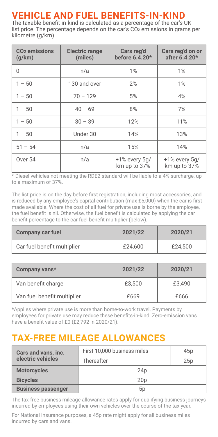## **VEHICLE AND FUEL BENEFITS-IN-KIND** The taxable benefit-in-kind is calculated as a percentage of the car's UK

list price. The percentage depends on the car's CO<sub>2</sub> emissions in grams per kilometre (g/km).

| CO <sub>2</sub> emissions<br>(q/km) | <b>Electric range</b><br>(miles) | Cars reg'd<br>before 6.4.20*       | Cars reg'd on or<br>after 6.4.20*  |  |
|-------------------------------------|----------------------------------|------------------------------------|------------------------------------|--|
| $\Omega$                            | n/a                              | 1%                                 | 1%                                 |  |
| $1 - 50$                            | 130 and over                     | 2%                                 | 1%                                 |  |
| $1 - 50$                            | $70 - 129$<br>5%                 |                                    | 4%                                 |  |
| $1 - 50$                            | $40 - 69$<br>8%                  |                                    | 7%                                 |  |
| $1 - 50$                            | $30 - 39$                        | 12%                                | 11%                                |  |
| $1 - 50$                            | Under 30                         |                                    | 13%                                |  |
| $51 - 54$                           | n/a                              | 15%                                | 14%                                |  |
| Over 54<br>n/a                      |                                  | $+1\%$ every $5q/$<br>km up to 37% | $+1\%$ every $5q/$<br>km up to 37% |  |

\* Diesel vehicles not meeting the RDE2 standard will be liable to a 4% surcharge, up to a maximum of 37%.

The list price is on the day before first registration, including most accessories, and is reduced by any employee's capital contribution (max £5,000) when the car is first made available. Where the cost of all fuel for private use is borne by the employee, the fuel benefit is nil. Otherwise, the fuel benefit is calculated by applying the car benefit percentage to the car fuel benefit multiplier (below).

| Company car fuel            | 2021/22 | 2020/21 |
|-----------------------------|---------|---------|
| Car fuel benefit multiplier | £24.600 | £24.500 |

| Company vans*               | 2021/22 | 2020/21 |
|-----------------------------|---------|---------|
| Van benefit charge          | £3.500  | £3.490  |
| Van fuel benefit multiplier | £669    | £666    |

\*Applies where private use is more than home-to-work travel. Payments by employees for private use may reduce these benefits-in-kind. Zero-emission vans have a benefit value of £0 (£2,792 in 2020/21).

## **TAX-FREE MILEAGE ALLOWANCES**

| Cars and vans, inc.       | First 10,000 business miles | 45 <sub>D</sub> |
|---------------------------|-----------------------------|-----------------|
| electric vehicles         | Thereafter                  | 25p             |
| <b>Motorcycles</b>        | 24 <sub>D</sub>             |                 |
| <b>Bicycles</b>           | 20 <sub>D</sub>             |                 |
| <b>Business passenger</b> | 5p                          |                 |

The tax-free business mileage allowance rates apply for qualifying business journeys incurred by employees using their own vehicles over the course of the tax year.

For National Insurance purposes, a 45p rate might apply for all business miles incurred by cars and vans.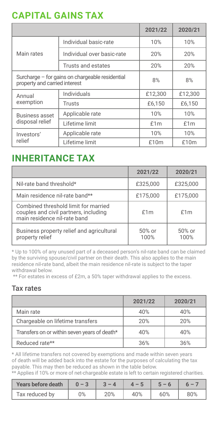## **CAPITAL GAINS TAX**

|                                                                                  |                            | 2021/22 | 2020/21 |
|----------------------------------------------------------------------------------|----------------------------|---------|---------|
|                                                                                  | Individual basic-rate      | 10%     | 10%     |
| Main rates                                                                       | Individual over basic-rate | 20%     | 20%     |
|                                                                                  | Trusts and estates         | 20%     | 20%     |
| Surcharge - for gains on chargeable residential<br>property and carried interest |                            | 8%      | 8%      |
| Annual                                                                           | Individuals                | £12.300 | £12.300 |
| exemption                                                                        | Trusts                     | £6.150  | £6.150  |
| <b>Business asset</b>                                                            | Applicable rate            | 10%     | 10%     |
| disposal relief                                                                  | Lifetime limit             | f1m     | £1m     |
| Investors'                                                                       | Applicable rate            | 10%     | 10%     |
| relief                                                                           | Lifetime limit             | £10m    | £10m    |

### **INHERITANCE TAX**

|                                                                                                               | 2021/22          | 2020/21        |
|---------------------------------------------------------------------------------------------------------------|------------------|----------------|
| Nil-rate band threshold*                                                                                      | £325.000         | £325.000       |
| Main residence nil-rate band**                                                                                | £175,000         | £175,000       |
| Combined threshold limit for married<br>couples and civil partners, including<br>main residence nil-rate band | f1m              | £1m            |
| Business property relief and agricultural<br>property relief                                                  | $50%$ or<br>100% | 50% or<br>100% |

\* Up to 100% of any unused part of a deceased person's nil-rate band can be claimed by the surviving spouse/civil partner on their death. This also applies to the main residence nil-rate band, albeit the main residence nil-rate is subject to the taper withdrawal below.

\*\* For estates in excess of £2m, a 50% taper withdrawal applies to the excess.

#### Tax rates

|                                              | 2021/22 | 2020/21 |
|----------------------------------------------|---------|---------|
| Main rate                                    | 40%     | 40%     |
| Chargeable on lifetime transfers             | 20%     | 20%     |
| Transfers on or within seven years of death* | 40%     | 40%     |
| Reduced rate**                               | 36%     | 36%     |

\* All lifetime transfers not covered by exemptions and made within seven years of death will be added back into the estate for the purposes of calculating the tax payable. This may then be reduced as shown in the table below.

|  | ** Applies if 10% or more of net-chargeable estate is left to certain registered charities. |  |  |  |  |
|--|---------------------------------------------------------------------------------------------|--|--|--|--|
|  |                                                                                             |  |  |  |  |

| Years before death $0 - 3$ | $3 - 4$ | $4 - 5$ | $5 - 6$ |     |
|----------------------------|---------|---------|---------|-----|
| Tax reduced by             | 20%     | 40%     | 60%     | 80% |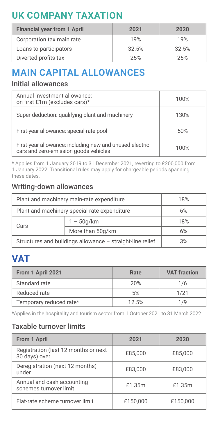## **UK COMPANY TAXATION**

| <b>Financial year from 1 April</b> | 2021  | 2020  |
|------------------------------------|-------|-------|
| Corporation tax main rate          | 19%   | 19%   |
| Loans to participators             | 32.5% | 32.5% |
| Diverted profits tax               | 2.5%  | 25%   |

## **MAIN CAPITAL ALLOWANCES**

#### Initial allowances

| Annual investment allowance:<br>on first £1m (excludes cars)*                                    | 100% |
|--------------------------------------------------------------------------------------------------|------|
| Super-deduction: qualifying plant and machinery                                                  | 130% |
| First-year allowance: special-rate pool                                                          | 50%  |
| First-year allowance: including new and unused electric<br>cars and zero-emission goods vehicles | 100% |

\* Applies from 1 January 2019 to 31 December 2021, reverting to £200,000 from 1 January 2022. Transitional rules may apply for chargeable periods spanning these dates.

#### Writing-down allowances

| Plant and machinery main-rate expenditure                 |  | 18% |
|-----------------------------------------------------------|--|-----|
| Plant and machinery special-rate expenditure              |  | 6%  |
| $1 - 50q/km$<br>Cars                                      |  | 18% |
| More than 50q/km                                          |  | 6%  |
| Structures and buildings allowance - straight-line relief |  | 3%  |

## **VAT**

| From 1 April 2021       | Rate  | <b>VAT fraction</b> |
|-------------------------|-------|---------------------|
| Standard rate           | 20%   | 1/6                 |
| Reduced rate            | 5%    | 1/21                |
| Temporary reduced rate* | 12.5% | 1/9                 |

\*Applies in the hospitality and tourism sector from 1 October 2021 to 31 March 2022.

#### Taxable turnover limits

| From 1 April                                          | 2021     | 2020     |
|-------------------------------------------------------|----------|----------|
| Registration (last 12 months or next<br>30 days) over | £85.000  | £85.000  |
| Deregistration (next 12 months)<br>under              | £83,000  | £83,000  |
| Annual and cash accounting<br>schemes turnover limit  | £1.35m   | £1.35m   |
| Flat-rate scheme turnover limit                       | £150,000 | £150.000 |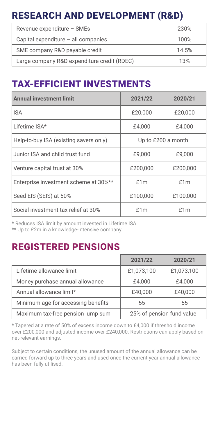## RESEARCH AND DEVELOPMENT (R&D)

| Revenue expenditure - SMEs                  | 230%  |
|---------------------------------------------|-------|
| Capital expenditure - all companies         | 100%  |
| SME company R&D payable credit              | 14.5% |
| Large company R&D expenditure credit (RDEC) | 13%   |

## TAX-EFFICIENT INVESTMENTS

| <b>Annual investment limit</b>         | 2021/22            | 2020/21  |
|----------------------------------------|--------------------|----------|
| <b>ISA</b>                             | £20,000            | £20,000  |
| Lifetime ISA*                          | £4.000             | £4.000   |
| Help-to-buy ISA (existing savers only) | Up to £200 a month |          |
| Junior ISA and child trust fund        | £9,000             | £9.000   |
| Venture capital trust at 30%           | £200,000           | £200,000 |
| Enterprise investment scheme at 30%**  | f1m                | f1m      |
| Seed EIS (SEIS) at 50%                 | £100,000           | £100,000 |
| Social investment tax relief at 30%    | f1m                | f1m      |

\* Reduces ISA limit by amount invested in Lifetime ISA.

\*\* Up to £2m in a knowledge-intensive company.

## REGISTERED PENSIONS

|                                    | 2021/22                   | 2020/21    |
|------------------------------------|---------------------------|------------|
| Lifetime allowance limit           | £1,073,100                | £1,073,100 |
| Money purchase annual allowance    | £4.000                    | £4.000     |
| Annual allowance limit*            | £40,000                   | £40.000    |
| Minimum age for accessing benefits | 55                        | 55         |
| Maximum tax-free pension lump sum  | 25% of pension fund value |            |

\* Tapered at a rate of 50% of excess income down to £4,000 if threshold income over £200,000 and adjusted income over £240,000. Restrictions can apply based on net-relevant earnings.

Subject to certain conditions, the unused amount of the annual allowance can be carried forward up to three years and used once the current year annual allowance has been fully utilised.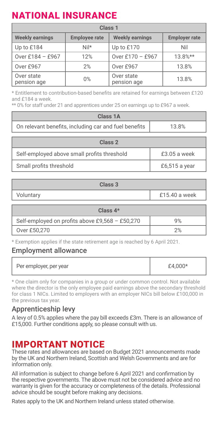## NATIONAL INSURANCE

| Class <sub>1</sub>        |                      |                           |                      |
|---------------------------|----------------------|---------------------------|----------------------|
| <b>Weekly earnings</b>    | <b>Employee rate</b> | <b>Weekly earnings</b>    | <b>Employer rate</b> |
| Up to £184                | $Nil*$               | Up to £170                | Nil                  |
| Over £184 - £967          | 12%                  | Over £170 - £967          | $13.8%**$            |
| Over £967                 | 2%                   | Over £967                 | 13.8%                |
| Over state<br>pension age | 0%                   | Over state<br>pension age | 13.8%                |

\* Entitlement to contribution-based benefits are retained for earnings between £120 and £184 a week.

\*\* 0% for staff under 21 and apprentices under 25 on earnings up to £967 a week.

| Class 1A                                              |              |  |
|-------------------------------------------------------|--------------|--|
|                                                       |              |  |
| On relevant benefits, including car and fuel benefits | 13.8%        |  |
|                                                       |              |  |
| Class 2                                               |              |  |
| Self-employed above small profits threshold           | £3.05 a week |  |

Small profits threshold **E**6.515 a year

| Class <sub>3</sub> |               |  |
|--------------------|---------------|--|
| Voluntary          | £15.40 a week |  |
|                    |               |  |

| Class $4*$                                      |    |  |
|-------------------------------------------------|----|--|
| Self-employed on profits above £9,568 - £50,270 | 9% |  |
| Over £50,270                                    |    |  |

\* Exemption applies if the state retirement age is reached by 6 April 2021.

#### Employment allowance

| Per employer, per year | $f4.000*$ |
|------------------------|-----------|
|------------------------|-----------|

\* One claim only for companies in a group or under common control. Not available where the director is the only employee paid earnings above the secondary threshold for class 1 NICs. Limited to employers with an employer NICs bill below £100,000 in the previous tax year.

#### Apprenticeship levy

A levy of 0.5% applies where the pay bill exceeds £3m. There is an allowance of £15,000. Further conditions apply, so please consult with us.

#### IMPORTANT NOTICE

These rates and allowances are based on Budget 2021 announcements made by the UK and Northern Ireland, Scottish and Welsh Governments and are for information only.

All information is subject to change before 6 April 2021 and confirmation by the respective governments. The above must not be considered advice and no warranty is given for the accuracy or completeness of the details. Professional advice should be sought before making any decisions.

Rates apply to the UK and Northern Ireland unless stated otherwise.